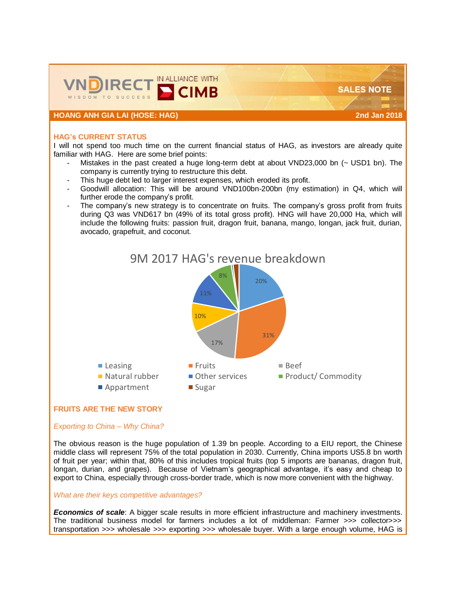

# **HOANG ANH GIA LAI (HOSE: HAG) 2nd Jan 2018**

### **HAG's CURRENT STATUS**

I will not spend too much time on the current financial status of HAG, as investors are already quite familiar with HAG. Here are some brief points:

Mistakes in the past created a huge long-term debt at about VND23,000 bn (~ USD1 bn). The company is currently trying to restructure this debt.

**SALES NOTE** 

- This huge debt led to larger interest expenses, which eroded its profit.
- Goodwill allocation: This will be around VND100bn-200bn (my estimation) in Q4, which will further erode the company's profit.
- The company's new strategy is to concentrate on fruits. The company's gross profit from fruits during Q3 was VND617 bn (49% of its total gross profit). HNG will have 20,000 Ha, which will include the following fruits: passion fruit, dragon fruit, banana, mango, longan, jack fruit, durian, avocado, grapefruit, and coconut.



## **FRUITS ARE THE NEW STORY**

### *Exporting to China – Why China?*

The obvious reason is the huge population of 1.39 bn people. According to a EIU report, the Chinese middle class will represent 75% of the total population in 2030. Currently, China imports US5.8 bn worth of fruit per year; within that, 80% of this includes tropical fruits (top 5 imports are bananas, dragon fruit, longan, durian, and grapes). Because of Vietnam's geographical advantage, it's easy and cheap to export to China, especially through cross-border trade, which is now more convenient with the highway.

#### *What are their keys competitive advantages?*

*Economics of scale:* A bigger scale results in more efficient infrastructure and machinery investments. The traditional business model for farmers includes a lot of middleman: Farmer >>> collector>>> transportation >>> wholesale >>> exporting >>> wholesale buyer. With a large enough volume, HAG is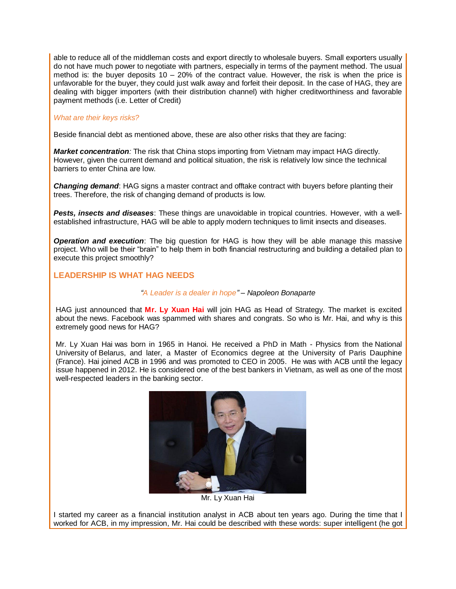able to reduce all of the middleman costs and export directly to wholesale buyers. Small exporters usually do not have much power to negotiate with partners, especially in terms of the payment method. The usual method is: the buyer deposits 10 – 20% of the contract value. However, the risk is when the price is unfavorable for the buyer, they could just walk away and forfeit their deposit. In the case of HAG, they are dealing with bigger importers (with their distribution channel) with higher creditworthiness and favorable payment methods (i.e. Letter of Credit)

## *What are their keys risks?*

Beside financial debt as mentioned above, these are also other risks that they are facing:

*Market concentration:* The risk that China stops importing from Vietnam may impact HAG directly. However, given the current demand and political situation, the risk is relatively low since the technical barriers to enter China are low.

*Changing demand*: HAG signs a master contract and offtake contract with buyers before planting their trees. Therefore, the risk of changing demand of products is low.

*Pests, insects and diseases*: These things are unavoidable in tropical countries. However, with a wellestablished infrastructure, HAG will be able to apply modern techniques to limit insects and diseases.

*Operation and execution*: The big question for HAG is how they will be able manage this massive project. Who will be their "brain" to help them in both financial restructuring and building a detailed plan to execute this project smoothly?

# **LEADERSHIP IS WHAT HAG NEEDS**

## *"A Leader is a dealer in hope" – Napoleon Bonaparte*

HAG just announced that **Mr. Ly Xuan Hai** will join HAG as Head of Strategy. The market is excited about the news. Facebook was spammed with shares and congrats. So who is Mr. Hai, and why is this extremely good news for HAG?

Mr. Ly Xuan Hai was born in 1965 in Hanoi. He received a PhD in Math - Physics from the National University of Belarus, and later, a Master of Economics degree at the University of Paris Dauphine (France). Hai joined ACB in 1996 and was promoted to CEO in 2005. He was with ACB until the legacy issue happened in 2012. He is considered one of the best bankers in Vietnam, as well as one of the most well-respected leaders in the banking sector.



Mr. Ly Xuan Hai

I started my career as a financial institution analyst in ACB about ten years ago. During the time that I worked for ACB, in my impression, Mr. Hai could be described with these words: super intelligent (he got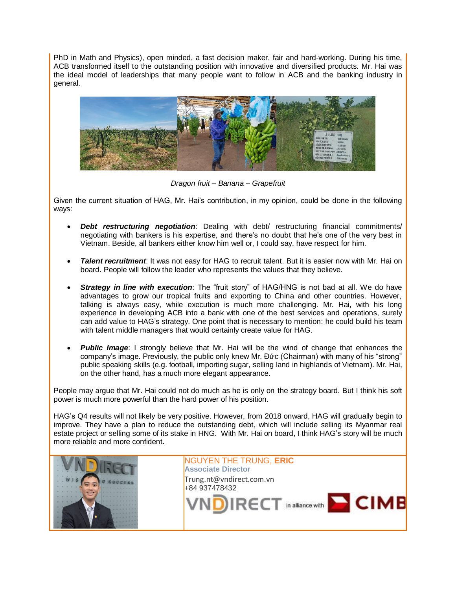PhD in Math and Physics), open minded, a fast decision maker, fair and hard-working. During his time, ACB transformed itself to the outstanding position with innovative and diversified products. Mr. Hai was the ideal model of leaderships that many people want to follow in ACB and the banking industry in general.



*Dragon fruit – Banana – Grapefruit*

Given the current situation of HAG, Mr. Hai's contribution, in my opinion, could be done in the following ways:

- **Debt restructuring negotiation**: Dealing with debt/ restructuring financial commitments/ negotiating with bankers is his expertise, and there's no doubt that he's one of the very best in Vietnam. Beside, all bankers either know him well or, I could say, have respect for him.
- *Talent recruitment*: It was not easy for HAG to recruit talent. But it is easier now with Mr. Hai on board. People will follow the leader who represents the values that they believe.
- *Strategy in line with execution*: The "fruit story" of HAG/HNG is not bad at all. We do have advantages to grow our tropical fruits and exporting to China and other countries. However, talking is always easy, while execution is much more challenging. Mr. Hai, with his long experience in developing ACB into a bank with one of the best services and operations, surely can add value to HAG's strategy. One point that is necessary to mention: he could build his team with talent middle managers that would certainly create value for HAG.
- **Public Image:** I strongly believe that Mr. Hai will be the wind of change that enhances the company's image. Previously, the public only knew Mr. Đức (Chairman) with many of his "strong" public speaking skills (e.g. football, importing sugar, selling land in highlands of Vietnam). Mr. Hai, on the other hand, has a much more elegant appearance.

People may argue that Mr. Hai could not do much as he is only on the strategy board. But I think his soft power is much more powerful than the hard power of his position.

HAG's Q4 results will not likely be very positive. However, from 2018 onward, HAG will gradually begin to improve. They have a plan to reduce the outstanding debt, which will include selling its Myanmar real estate project or selling some of its stake in HNG. With Mr. Hai on board, I think HAG's story will be much more reliable and more confident.